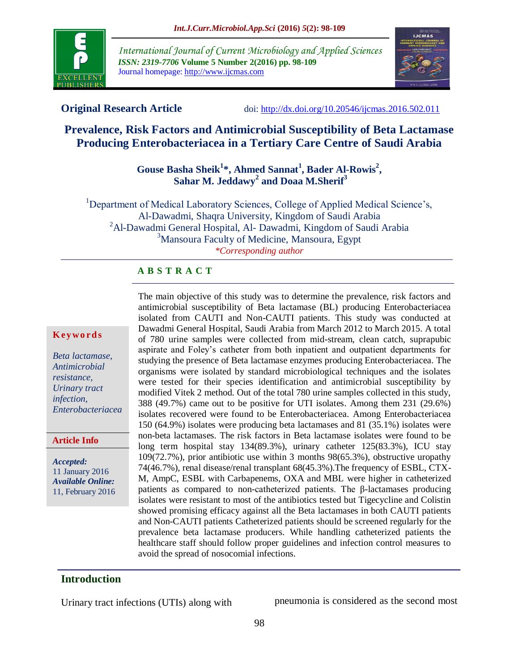

*International Journal of Current Microbiology and Applied Sciences ISSN: 2319-7706* **Volume 5 Number 2(2016) pp. 98-109** Journal homepage: http://www.ijcmas.com



**Original Research Article** doi:<http://dx.doi.org/10.20546/ijcmas.2016.502.011>

# **Prevalence, Risk Factors and Antimicrobial Susceptibility of Beta Lactamase Producing Enterobacteriacea in a Tertiary Care Centre of Saudi Arabia**

## **Gouse Basha Sheik<sup>1</sup> \*, Ahmed Sannat<sup>1</sup> , Bader Al-Rowis<sup>2</sup> , Sahar M. Jeddawy<sup>2</sup> and Doaa M.Sherif<sup>3</sup>**

<sup>1</sup>Department of Medical Laboratory Sciences, College of Applied Medical Science's, Al-Dawadmi, Shaqra University, Kingdom of Saudi Arabia <sup>2</sup>Al-Dawadmi General Hospital, Al- Dawadmi, Kingdom of Saudi Arabia <sup>3</sup>Mansoura Faculty of Medicine, Mansoura, Egypt *\*Corresponding author*

#### **A B S T R A C T**

#### **K ey w o rd s**

*Beta lactamase, Antimicrobial resistance, Urinary tract infection, Enterobacteriacea*

#### **Article Info**

*Accepted:*  11 January 2016 *Available Online:* 11, February 2016 The main objective of this study was to determine the prevalence, risk factors and antimicrobial susceptibility of Beta lactamase (BL) producing Enterobacteriacea isolated from CAUTI and Non-CAUTI patients. This study was conducted at Dawadmi General Hospital, Saudi Arabia from March 2012 to March 2015. A total of 780 urine samples were collected from mid-stream, clean catch, suprapubic aspirate and Foley's catheter from both inpatient and outpatient departments for studying the presence of Beta lactamase enzymes producing Enterobacteriacea. The organisms were isolated by standard microbiological techniques and the isolates were tested for their species identification and antimicrobial susceptibility by modified Vitek 2 method. Out of the total 780 urine samples collected in this study, 388 (49.7%) came out to be positive for UTI isolates. Among them 231 (29.6%) isolates recovered were found to be Enterobacteriacea. Among Enterobacteriacea 150 (64.9%) isolates were producing beta lactamases and 81 (35.1%) isolates were non-beta lactamases. The risk factors in Beta lactamase isolates were found to be long term hospital stay 134(89.3%), urinary catheter 125(83.3%), ICU stay 109(72.7%), prior antibiotic use within 3 months 98(65.3%), obstructive uropathy 74(46.7%), renal disease/renal transplant 68(45.3%).The frequency of ESBL, CTX-M, AmpC, ESBL with Carbapenems, OXA and MBL were higher in catheterized patients as compared to non-catheterized patients. The β-lactamases producing isolates were resistant to most of the antibiotics tested but Tigecycline and Colistin showed promising efficacy against all the Beta lactamases in both CAUTI patients and Non-CAUTI patients Catheterized patients should be screened regularly for the prevalence beta lactamase producers. While handling catheterized patients the healthcare staff should follow proper guidelines and infection control measures to avoid the spread of nosocomial infections.

# **Introduction**

Urinary tract infections (UTIs) along with pneumonia is considered as the second most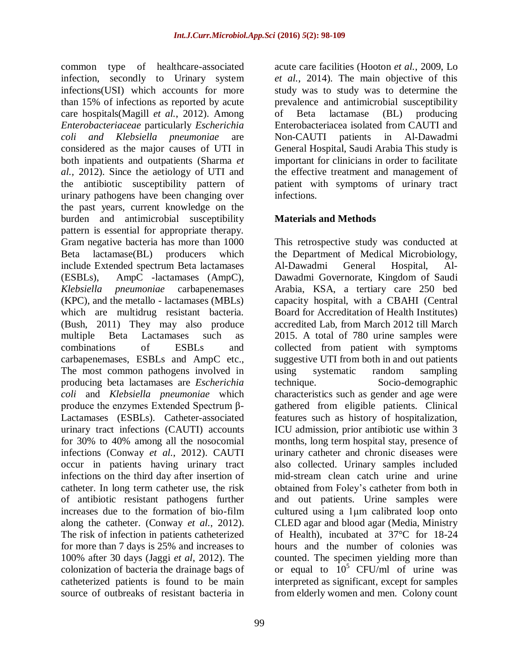common type of healthcare-associated infection, secondly to Urinary system infections(USI) which accounts for more than 15% of infections as reported by acute care hospitals(Magill *et al.*, 2012). Among *Enterobacteriaceae* particularly *Escherichia coli and Klebsiella pneumoniae* are considered as the major causes of UTI in both inpatients and outpatients (Sharma *et al.,* 2012). Since the aetiology of UTI and the antibiotic susceptibility pattern of urinary pathogens have been changing over the past years, current knowledge on the burden and antimicrobial susceptibility pattern is essential for appropriate therapy. Gram negative bacteria has more than 1000 Beta lactamase(BL) producers which include Extended spectrum Beta lactamases (ESBLs), AmpC -lactamases (AmpC), *Klebsiella pneumoniae* carbapenemases (KPC), and the metallo - lactamases (MBLs) which are multidrug resistant bacteria. (Bush, 2011) They may also produce multiple Beta Lactamases such as combinations of ESBLs and carbapenemases, ESBLs and AmpC etc., The most common pathogens involved in producing beta lactamases are *Escherichia coli* and *Klebsiella pneumoniae* which produce the enzymes Extended Spectrum β-Lactamases (ESBLs). Catheter-associated urinary tract infections (CAUTI) accounts for 30% to 40% among all the nosocomial infections (Conway *et al.*, 2012). CAUTI occur in patients having urinary tract infections on the third day after insertion of catheter. In long term catheter use, the risk of antibiotic resistant pathogens further increases due to the formation of bio-film along the catheter. (Conway *et al.*, 2012). The risk of infection in patients catheterized for more than 7 days is 25% and increases to 100% after 30 days (Jaggi *et al*, 2012). The colonization of bacteria the drainage bags of catheterized patients is found to be main source of outbreaks of resistant bacteria in

99

acute care facilities (Hooton *et al.*, 2009, Lo *et al.*, 2014). The main objective of this study was to study was to determine the prevalence and antimicrobial susceptibility of Beta lactamase (BL) producing Enterobacteriacea isolated from CAUTI and Non-CAUTI patients in Al-Dawadmi General Hospital, Saudi Arabia This study is important for clinicians in order to facilitate the effective treatment and management of patient with symptoms of urinary tract infections.

## **Materials and Methods**

This retrospective study was conducted at the Department of Medical Microbiology, Al-Dawadmi General Hospital, Al-Dawadmi Governorate, Kingdom of Saudi Arabia, KSA, a tertiary care 250 bed capacity hospital, with a CBAHI (Central Board for Accreditation of Health Institutes) accredited Lab, from March 2012 till March 2015. A total of 780 urine samples were collected from patient with symptoms suggestive UTI from both in and out patients using systematic random sampling technique. Socio-demographic characteristics such as gender and age were gathered from eligible patients. Clinical features such as history of hospitalization, ICU admission, prior antibiotic use within 3 months, long term hospital stay, presence of urinary catheter and chronic diseases were also collected. Urinary samples included mid-stream clean catch urine and urine obtained from Foley's catheter from both in and out patients. Urine samples were cultured using a 1μm calibrated loop onto CLED agar and blood agar (Media, Ministry of Health), incubated at 37°C for 18-24 hours and the number of colonies was counted. The specimen yielding more than or equal to  $10^5$  CFU/ml of urine was interpreted as significant, except for samples from elderly women and men. Colony count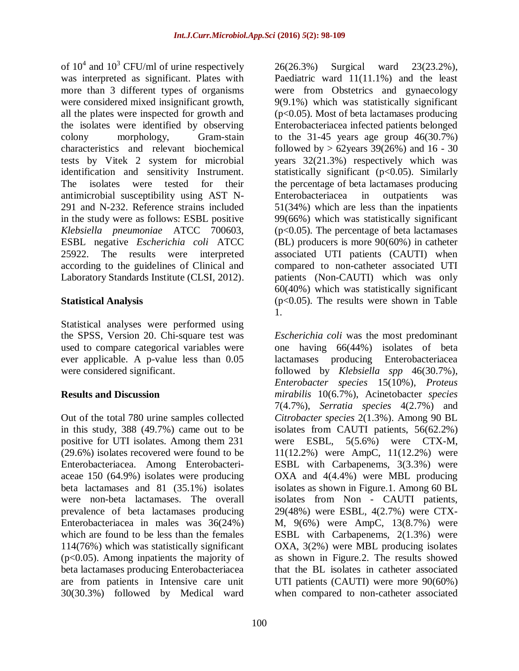of  $10^4$  and  $10^3$  CFU/ml of urine respectively was interpreted as significant. Plates with more than 3 different types of organisms were considered mixed insignificant growth, all the plates were inspected for growth and the isolates were identified by observing colony morphology, Gram-stain characteristics and relevant biochemical tests by Vitek 2 system for microbial identification and sensitivity Instrument. The isolates were tested for their antimicrobial susceptibility using AST N-291 and N-232. Reference strains included in the study were as follows: ESBL positive *Klebsiella pneumoniae* ATCC 700603, ESBL negative *Escherichia coli* ATCC 25922. The results were interpreted according to the guidelines of Clinical and Laboratory Standards Institute (CLSI, 2012).

## **Statistical Analysis**

Statistical analyses were performed using the SPSS, Version 20. Chi-square test was used to compare categorical variables were ever applicable. A p-value less than 0.05 were considered significant.

## **Results and Discussion**

Out of the total 780 urine samples collected in this study, 388 (49.7%) came out to be positive for UTI isolates. Among them 231 (29.6%) isolates recovered were found to be Enterobacteriacea. Among Enterobacteriaceae 150 (64.9%) isolates were producing beta lactamases and 81 (35.1%) isolates were non-beta lactamases. The overall prevalence of beta lactamases producing Enterobacteriacea in males was 36(24%) which are found to be less than the females 114(76%) which was statistically significant (p<0.05). Among inpatients the majority of beta lactamases producing Enterobacteriacea are from patients in Intensive care unit 30(30.3%) followed by Medical ward

26(26.3%) Surgical ward 23(23.2%), Paediatric ward 11(11.1%) and the least were from Obstetrics and gynaecology 9(9.1%) which was statistically significant (p<0.05). Most of beta lactamases producing Enterobacteriacea infected patients belonged to the  $31-45$  years age group  $46(30.7%)$ followed by  $> 62$ years 39(26%) and 16 - 30 years 32(21.3%) respectively which was statistically significant (p<0.05). Similarly the percentage of beta lactamases producing Enterobacteriacea in outpatients was 51(34%) which are less than the inpatients 99(66%) which was statistically significant (p<0.05). The percentage of beta lactamases (BL) producers is more 90(60%) in catheter associated UTI patients (CAUTI) when compared to non-catheter associated UTI patients (Non-CAUTI) which was only 60(40%) which was statistically significant (p<0.05). The results were shown in Table 1.

*Escherichia coli* was the most predominant one having 66(44%) isolates of beta lactamases producing Enterobacteriacea followed by *Klebsiella spp* 46(30.7%), *Enterobacter species* 15(10%), *Proteus mirabilis* 10(6.7%), Acinetobacter *species* 7(4.7%), *Serratia species* 4(2.7%) and *Citrobacter species* 2(1.3%). Among 90 BL isolates from CAUTI patients, 56(62.2%) were ESBL, 5(5.6%) were CTX-M, 11(12.2%) were AmpC, 11(12.2%) were ESBL with Carbapenems, 3(3.3%) were OXA and 4(4.4%) were MBL producing isolates as shown in Figure.1. Among 60 BL isolates from Non - CAUTI patients, 29(48%) were ESBL, 4(2.7%) were CTX-M, 9(6%) were AmpC, 13(8.7%) were ESBL with Carbapenems, 2(1.3%) were OXA, 3(2%) were MBL producing isolates as shown in Figure.2. The results showed that the BL isolates in catheter associated UTI patients (CAUTI) were more 90(60%) when compared to non-catheter associated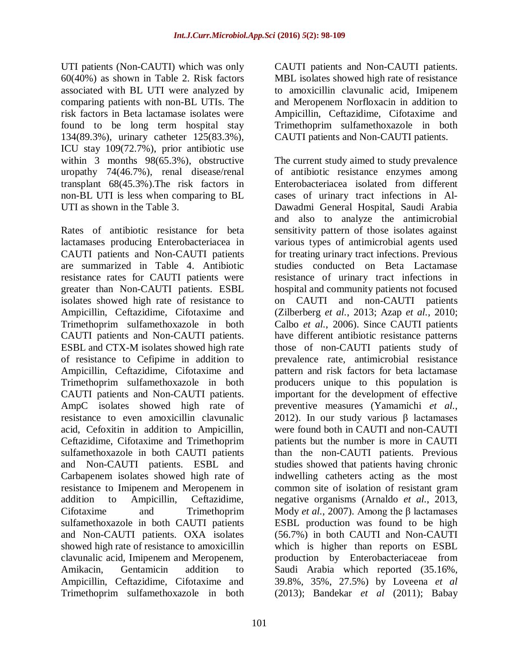UTI patients (Non-CAUTI) which was only 60(40%) as shown in Table 2. Risk factors associated with BL UTI were analyzed by comparing patients with non-BL UTIs. The risk factors in Beta lactamase isolates were found to be long term hospital stay 134(89.3%), urinary catheter 125(83.3%), ICU stay 109(72.7%), prior antibiotic use within 3 months 98(65.3%), obstructive uropathy 74(46.7%), renal disease/renal transplant 68(45.3%).The risk factors in non-BL UTI is less when comparing to BL UTI as shown in the Table 3.

Rates of antibiotic resistance for beta lactamases producing Enterobacteriacea in CAUTI patients and Non-CAUTI patients are summarized in Table 4. Antibiotic resistance rates for CAUTI patients were greater than Non-CAUTI patients. ESBL isolates showed high rate of resistance to Ampicillin, Ceftazidime, Cifotaxime and Trimethoprim sulfamethoxazole in both CAUTI patients and Non-CAUTI patients. ESBL and CTX-M isolates showed high rate of resistance to Cefipime in addition to Ampicillin, Ceftazidime, Cifotaxime and Trimethoprim sulfamethoxazole in both CAUTI patients and Non-CAUTI patients. AmpC isolates showed high rate of resistance to even amoxicillin clavunalic acid, Cefoxitin in addition to Ampicillin, Ceftazidime, Cifotaxime and Trimethoprim sulfamethoxazole in both CAUTI patients and Non-CAUTI patients. ESBL and Carbapenem isolates showed high rate of resistance to Imipenem and Meropenem in addition to Ampicillin, Ceftazidime, Cifotaxime and Trimethoprim sulfamethoxazole in both CAUTI patients and Non-CAUTI patients. OXA isolates showed high rate of resistance to amoxicillin clavunalic acid, Imipenem and Meropenem, Amikacin, Gentamicin addition to Ampicillin, Ceftazidime, Cifotaxime and Trimethoprim sulfamethoxazole in both

CAUTI patients and Non-CAUTI patients. MBL isolates showed high rate of resistance to amoxicillin clavunalic acid, Imipenem and Meropenem Norfloxacin in addition to Ampicillin, Ceftazidime, Cifotaxime and Trimethoprim sulfamethoxazole in both CAUTI patients and Non-CAUTI patients.

The current study aimed to study prevalence of antibiotic resistance enzymes among Enterobacteriacea isolated from different cases of urinary tract infections in Al-Dawadmi General Hospital, Saudi Arabia and also to analyze the antimicrobial sensitivity pattern of those isolates against various types of antimicrobial agents used for treating urinary tract infections. Previous studies conducted on Beta Lactamase resistance of urinary tract infections in hospital and community patients not focused on CAUTI and non-CAUTI patients (Zilberberg *et al.*, 2013; Azap *et al.*, 2010; Calbo *et al.*, 2006). Since CAUTI patients have different antibiotic resistance patterns those of non-CAUTI patients study of prevalence rate, antimicrobial resistance pattern and risk factors for beta lactamase producers unique to this population is important for the development of effective preventive measures (Yamamichi *et al.*, 2012). In our study various β lactamases were found both in CAUTI and non-CAUTI patients but the number is more in CAUTI than the non-CAUTI patients. Previous studies showed that patients having chronic indwelling catheters acting as the most common site of isolation of resistant gram negative organisms (Arnaldo *et al.*, 2013, Mody *et al.*, 2007). Among the β lactamases ESBL production was found to be high (56.7%) in both CAUTI and Non-CAUTI which is higher than reports on ESBL production by Enterobacteriaceae from Saudi Arabia which reported (35.16%, 39.8%, 35%, 27.5%) by Loveena *et al* (2013); Bandekar *et al* (2011); Babay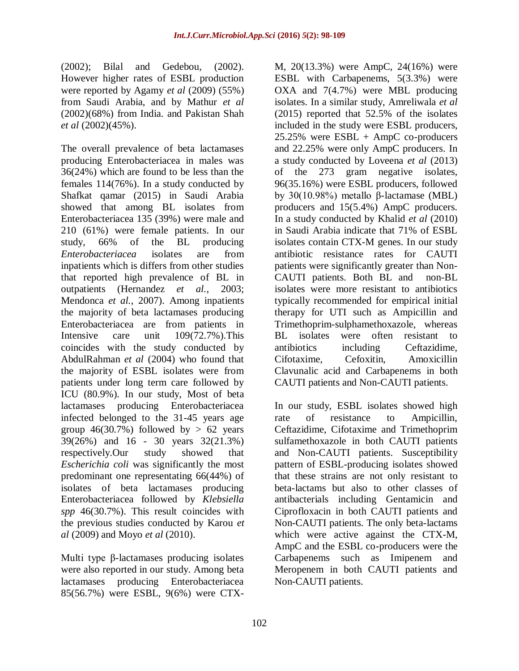(2002); Bilal and Gedebou, (2002). However higher rates of ESBL production were reported by Agamy *et al* (2009) (55%) from Saudi Arabia, and by Mathur *et al* (2002)(68%) from India. and Pakistan Shah *et al* (2002)(45%).

The overall prevalence of beta lactamases producing Enterobacteriacea in males was 36(24%) which are found to be less than the females 114(76%). In a study conducted by Shafkat qamar (2015) in Saudi Arabia showed that among BL isolates from Enterobacteriacea 135 (39%) were male and 210 (61%) were female patients. In our study, 66% of the BL producing *Enterobacteriacea* isolates are from inpatients which is differs from other studies that reported high prevalence of BL in outpatients (Hernandez *et al.*, 2003; Mendonca *et al.*, 2007). Among inpatients the majority of beta lactamases producing Enterobacteriacea are from patients in Intensive care unit 109(72.7%).This coincides with the study conducted by AbdulRahman *et al* (2004) who found that the majority of ESBL isolates were from patients under long term care followed by ICU (80.9%). In our study, Most of beta lactamases producing Enterobacteriacea infected belonged to the 31-45 years age group  $46(30.7%)$  followed by  $> 62$  years 39(26%) and 16 - 30 years 32(21.3%) respectively.Our study showed that *Escherichia coli* was significantly the most predominant one representating 66(44%) of isolates of beta lactamases producing Enterobacteriacea followed by *Klebsiella spp* 46(30.7%). This result coincides with the previous studies conducted by Karou *et al* (2009) and Moyo *et al* (2010).

Multi type β-lactamases producing isolates were also reported in our study. Among beta lactamases producing Enterobacteriacea 85(56.7%) were ESBL, 9(6%) were CTX-

M, 20(13.3%) were AmpC, 24(16%) were ESBL with Carbapenems, 5(3.3%) were OXA and 7(4.7%) were MBL producing isolates. In a similar study, Amreliwala *et al* (2015) reported that 52.5% of the isolates included in the study were ESBL producers, 25.25% were ESBL + AmpC co-producers and 22.25% were only AmpC producers. In a study conducted by Loveena *et al* (2013) of the 273 gram negative isolates, 96(35.16%) were ESBL producers, followed by 30(10.98%) metallo β-lactamase (MBL) producers and 15(5.4%) AmpC producers. In a study conducted by Khalid *et al* (2010) in Saudi Arabia indicate that 71% of ESBL isolates contain CTX-M genes. In our study antibiotic resistance rates for CAUTI patients were significantly greater than Non-CAUTI patients. Both BL and non-BL isolates were more resistant to antibiotics typically recommended for empirical initial therapy for UTI such as Ampicillin and Trimethoprim-sulphamethoxazole, whereas BL isolates were often resistant to antibiotics including Ceftazidime, Cifotaxime, Cefoxitin, Amoxicillin Clavunalic acid and Carbapenems in both CAUTI patients and Non-CAUTI patients.

In our study, ESBL isolates showed high rate of resistance to Ampicillin, Ceftazidime, Cifotaxime and Trimethoprim sulfamethoxazole in both CAUTI patients and Non-CAUTI patients. Susceptibility pattern of ESBL-producing isolates showed that these strains are not only resistant to beta-lactams but also to other classes of antibacterials including Gentamicin and Ciprofloxacin in both CAUTI patients and Non-CAUTI patients. The only beta-lactams which were active against the CTX-M, AmpC and the ESBL co-producers were the Carbapenems such as Imipenem and Meropenem in both CAUTI patients and Non-CAUTI patients.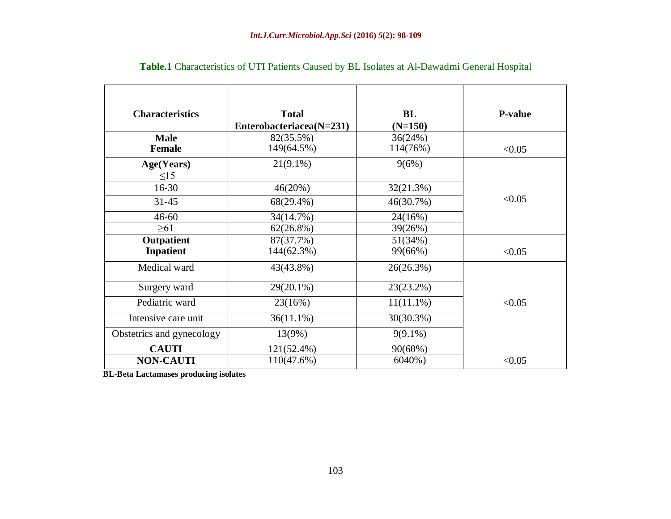| <b>Characteristics</b>    | <b>Total</b><br>Enterobacteriacea(N=231) | BL<br>$(N=150)$ | <b>P-value</b> |
|---------------------------|------------------------------------------|-----------------|----------------|
| <b>Male</b>               | $82(35.5\%)$                             | 36(24%)         |                |
| <b>Female</b>             | 149(64.5%)                               | 114(76%)        | < 0.05         |
| Age(Years)                | $21(9.1\%)$                              | 9(6%)           |                |
| $\leq$ 15                 |                                          |                 |                |
| $16 - 30$                 | 46(20%)                                  | 32(21.3%)       |                |
| $31 - 45$                 | 68(29.4%)                                | 46(30.7%)       | < 0.05         |
| $46 - 60$                 | 34(14.7%)                                | 24(16%)         |                |
| $\geq 61$                 | $62(26.8\%)$                             | 39(26%)         |                |
| <b>Outpatient</b>         | 87(37.7%)                                | 51(34%)         |                |
| Inpatient                 | 144(62.3%)                               | 99(66%)         | < 0.05         |
| Medical ward              | 43(43.8%)                                | 26(26.3%)       |                |
| Surgery ward              | 29(20.1%)                                | 23(23.2%)       |                |
| Pediatric ward            | 23(16%)                                  | $11(11.1\%)$    | < 0.05         |
| Intensive care unit       | $36(11.1\%)$                             | 30(30.3%)       |                |
| Obstetrics and gynecology | 13(9%)                                   | $9(9.1\%)$      |                |
| <b>CAUTI</b>              | 121(52.4%)                               | $90(60\%)$      |                |
| <b>NON-CAUTI</b>          | 110(47.6%)                               | 6040%)          | < 0.05         |

# **Table.1** Characteristics of UTI Patients Caused by BL Isolates at Al-Dawadmi General Hospital

**BL-Beta Lactamases producing isolates**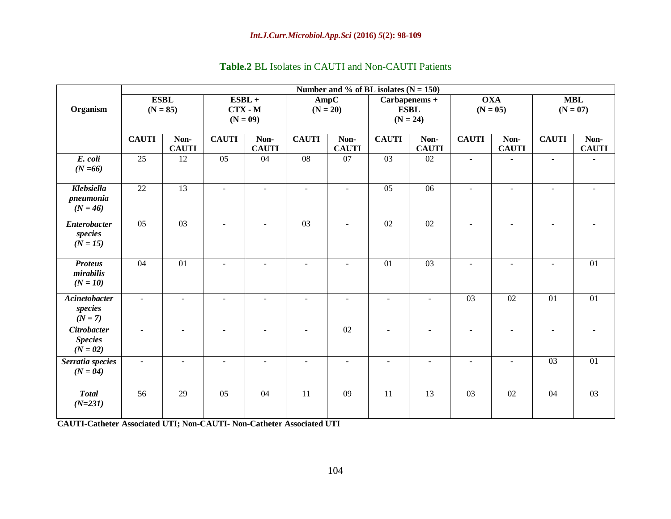| <b>Table.2</b> BL Isolates in CAUTI and Non-CAUTI Patients |  |  |  |  |  |
|------------------------------------------------------------|--|--|--|--|--|
|------------------------------------------------------------|--|--|--|--|--|

|                                                    | Number and % of BL isolates $(N = 150)$ |                           |                          |                          |                                                                  |                          |                          |                          |                          |                      |                          |                      |
|----------------------------------------------------|-----------------------------------------|---------------------------|--------------------------|--------------------------|------------------------------------------------------------------|--------------------------|--------------------------|--------------------------|--------------------------|----------------------|--------------------------|----------------------|
| Organism                                           |                                         | <b>ESBL</b><br>$(N = 85)$ | $ESBL +$<br>$(N = 09)$   | $CTX - M$                | AmpC<br>Carbapenems +<br>$(N = 20)$<br><b>ESBL</b><br>$(N = 24)$ |                          | <b>OXA</b><br>$(N = 05)$ |                          | <b>MBL</b><br>$(N = 07)$ |                      |                          |                      |
|                                                    | <b>CAUTI</b>                            | Non-<br><b>CAUTI</b>      | <b>CAUTI</b>             | Non-<br><b>CAUTI</b>     | <b>CAUTI</b>                                                     | Non-<br><b>CAUTI</b>     | <b>CAUTI</b>             | Non-<br><b>CAUTI</b>     | <b>CAUTI</b>             | Non-<br><b>CAUTI</b> | <b>CAUTI</b>             | Non-<br><b>CAUTI</b> |
| E. coli<br>$(N = 66)$                              | $\overline{25}$                         | $\overline{12}$           | $\overline{05}$          | $\overline{04}$          | $\overline{08}$                                                  | $\overline{07}$          | $\overline{03}$          | $\overline{02}$          | L.                       |                      | $\overline{\phantom{a}}$ |                      |
| Klebsiella<br>pneumonia<br>$(N = 46)$              | 22                                      | 13                        | $\blacksquare$           | $\blacksquare$           | $\overline{\phantom{a}}$                                         | $\omega$                 | $\overline{05}$          | 06                       | $\blacksquare$           | $\blacksquare$       | $\blacksquare$           |                      |
| <b>Enterobacter</b><br>species<br>$(N = 15)$       | $\overline{05}$                         | $\overline{03}$           | $\blacksquare$           | $\blacksquare$           | $\overline{03}$                                                  | $\omega$                 | $\overline{02}$          | $\overline{02}$          | $\overline{a}$           | $\blacksquare$       | $\blacksquare$           |                      |
| <b>Proteus</b><br>mirabilis<br>$(N = 10)$          | 04                                      | 01                        | $\overline{\phantom{a}}$ | $\sim$                   | $\overline{\phantom{a}}$                                         | $\overline{\phantom{a}}$ | 01                       | $\overline{03}$          | $\blacksquare$           | $\sim$               | $\sim$                   | 01                   |
| <b>Acinetobacter</b><br>species<br>$(N = 7)$       | $\overline{a}$                          | $\omega$                  | $\blacksquare$           | $\blacksquare$           | $\sim$                                                           | $\sim$                   | $\overline{a}$           | $\blacksquare$           | $\overline{03}$          | $\overline{02}$      | $\overline{01}$          | 01                   |
| <b>Citrobacter</b><br><b>Species</b><br>$(N = 02)$ |                                         |                           | $\overline{a}$           |                          |                                                                  | 02                       | $\overline{\phantom{a}}$ |                          |                          |                      | $\overline{a}$           |                      |
| Serratia species<br>$(N = 04)$                     | $\blacksquare$                          | $\blacksquare$            | $\overline{\phantom{a}}$ | $\overline{\phantom{a}}$ | $\sim$                                                           | $\blacksquare$           | $\blacksquare$           | $\overline{\phantom{a}}$ | $\blacksquare$           | $\blacksquare$       | $\overline{03}$          | $\overline{01}$      |
| <b>Total</b><br>$(N=231)$                          | $\overline{56}$                         | $\overline{29}$           | 05                       | 04                       | $\overline{11}$                                                  | $\overline{09}$          | 11                       | $\overline{13}$          | $\overline{03}$          | $\overline{02}$      | 04                       | $\overline{03}$      |

**CAUTI-Catheter Associated UTI; Non-CAUTI- Non-Catheter Associated UTI**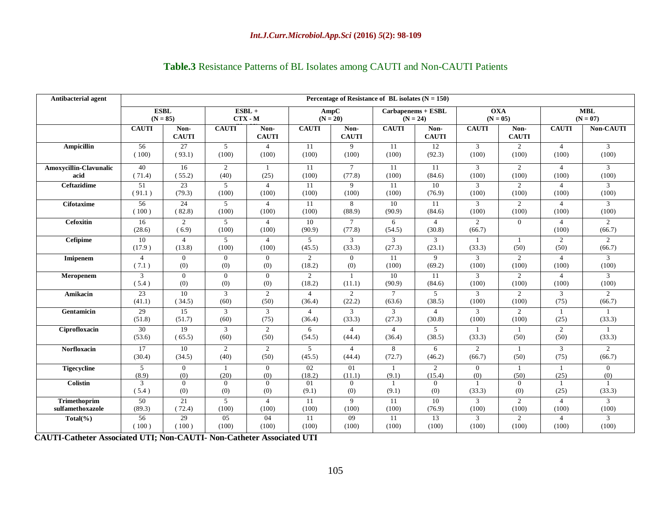| <b>Antibacterial agent</b> | Percentage of Resistance of BL isolates $(N = 150)$ |                          |                         |                         |                          |                          |                          |                          |                          |                         |                         |                          |
|----------------------------|-----------------------------------------------------|--------------------------|-------------------------|-------------------------|--------------------------|--------------------------|--------------------------|--------------------------|--------------------------|-------------------------|-------------------------|--------------------------|
|                            | <b>ESBL</b>                                         |                          | $ESBL +$                |                         | AmpC                     |                          | Carbapenems + ESBL       |                          | <b>OXA</b>               |                         | <b>MBL</b>              |                          |
|                            | $(N = 85)$                                          |                          | $CTX - M$               |                         | $(N = 20)$               |                          | $(N = 24)$               |                          | $(N = 05)$               |                         | $(N = 07)$              |                          |
|                            | <b>CAUTI</b>                                        | Non-<br><b>CAUTI</b>     | <b>CAUTI</b>            | Non-<br><b>CAUTI</b>    | <b>CAUTI</b>             | Non-<br><b>CAUTI</b>     | <b>CAUTI</b>             | Non-<br><b>CAUTI</b>     | <b>CAUTI</b>             | Non-<br><b>CAUTI</b>    | <b>CAUTI</b>            | <b>Non-CAUTI</b>         |
| <b>Ampicillin</b>          | $\overline{56}$                                     | 27                       | $\overline{5}$          | $\overline{4}$          | 11                       | 9                        | 11                       | 12                       | $\mathbf{3}$             | $\overline{c}$          | $\overline{4}$          | $\mathbf{3}$             |
|                            | (100)                                               | (93.1)                   | (100)                   | (100)                   | (100)                    | (100)                    | (100)                    | (92.3)                   | (100)                    | (100)                   | (100)                   | (100)                    |
| Amoxycillin-Clavunalic     | 40                                                  | 16                       | 2                       | $\overline{1}$          | 11                       | $7\overline{ }$          | 11                       | 11                       | $\mathfrak{Z}$           | $\overline{2}$          | $\overline{4}$          | $\mathfrak{Z}$           |
| acid                       | (71.4)                                              | (55.2)                   | (40)                    | (25)                    | (100)                    | (77.8)                   | (100)                    | (84.6)                   | (100)                    | (100)                   | (100)                   | (100)                    |
| <b>Ceftazidime</b>         | $\overline{51}$                                     | 23                       | 5                       | $\overline{4}$          | 11                       | 9                        | 11                       | $\overline{10}$          | 3                        | $\overline{2}$          | $\overline{4}$          | $\mathfrak{Z}$           |
|                            | (91.1)                                              | (79.3)                   | (100)                   | (100)                   | (100)                    | (100)                    | (100)                    | (76.9)                   | (100)                    | (100)                   | (100)                   | (100)                    |
| <b>Cifotaxime</b>          | $\overline{56}$                                     | $\overline{24}$          | $\overline{5}$          | $\overline{4}$          | 11                       | 8                        | 10                       | $\overline{11}$          | $\mathfrak{Z}$           | $\overline{2}$          | $\overline{4}$          | $\overline{3}$           |
|                            | (100)                                               | (82.8)                   | (100)                   | (100)                   | (100)                    | (88.9)                   | (90.9)                   | (84.6)                   | (100)                    | (100)                   | (100)                   | (100)                    |
| <b>Cefoxitin</b>           | 16<br>(28.6)                                        | $\overline{2}$<br>(6.9)  | $\overline{5}$<br>(100) | $\overline{4}$<br>(100) | 10<br>(90.9)             | $\tau$<br>(77.8)         | 6<br>(54.5)              | $\overline{4}$<br>(30.8) | $\overline{2}$<br>(66.7) | $\overline{0}$          | $\overline{4}$<br>(100) | 2<br>(66.7)              |
| <b>Cefipime</b>            | 10<br>(17.9)                                        | $\overline{4}$<br>(13.8) | 5<br>(100)              | $\overline{4}$<br>(100) | 5<br>(45.5)              | 3<br>(33.3)              | 3<br>(27.3)              | 3<br>(23.1)              | (33.3)                   | 1<br>(50)               | $\overline{2}$<br>(50)  | $\overline{2}$<br>(66.7) |
| Imipenem                   | $\overline{4}$                                      | $\overline{0}$           | $\overline{0}$          | $\overline{0}$          | 2                        | $\overline{0}$           | 11                       | 9                        | 3                        | 2                       | $\overline{4}$          | $\mathfrak{Z}$           |
|                            | (7.1)                                               | (0)                      | (0)                     | (0)                     | (18.2)                   | (0)                      | (100)                    | (69.2)                   | (100)                    | (100)                   | (100)                   | (100)                    |
| Meropenem                  | 3                                                   | $\overline{0}$           | $\overline{0}$          | $\overline{0}$          | $\overline{2}$           | $\mathbf{1}$             | 10                       | 11                       | 3                        | $\overline{2}$          | $\overline{4}$          | $\mathfrak{Z}$           |
|                            | (5.4)                                               | (0)                      | (0)                     | (0)                     | (18.2)                   | (11.1)                   | (90.9)                   | (84.6)                   | (100)                    | (100)                   | (100)                   | (100)                    |
| Amikacin                   | 23                                                  | 10                       | 3                       | 2                       | $\overline{4}$           | 2                        | $\tau$                   | 5                        | 3                        | 2                       | 3                       | $\overline{2}$           |
|                            | (41.1)                                              | (34.5)                   | (60)                    | (50)                    | (36.4)                   | (22.2)                   | (63.6)                   | (38.5)                   | (100)                    | (100)                   | (75)                    | (66.7)                   |
| Gentamicin                 | 29<br>(51.8)                                        | 15<br>(51.7)             | 3<br>(60)               | 3<br>(75)               | $\overline{4}$<br>(36.4) | 3<br>(33.3)              | 3<br>(27.3)              | $\overline{4}$<br>(30.8) | 3<br>(100)               | $\overline{2}$<br>(100) | -1<br>(25)              | (33.3)                   |
| Ciprofloxacin              | 30<br>(53.6)                                        | 19<br>(65.5)             | 3<br>(60)               | 2<br>(50)               | 6<br>(54.5)              | $\overline{4}$<br>(44.4) | $\overline{4}$<br>(36.4) | $\overline{5}$<br>(38.5) | (33.3)                   | (50)                    | 2<br>(50)               | (33.3)                   |
| <b>Norfloxacin</b>         | 17                                                  | 10                       | 2                       | 2                       | 5                        | $\overline{4}$           | 8                        | 6                        | 2                        | 1                       | 3                       | 2                        |
|                            | (30.4)                                              | (34.5)                   | (40)                    | (50)                    | (45.5)                   | (44.4)                   | (72.7)                   | (46.2)                   | (66.7)                   | (50)                    | (75)                    | (66.7)                   |
| <b>Tigecycline</b>         | 5                                                   | $\overline{0}$           | 1                       | $\overline{0}$          | 02                       | 01                       | $\mathbf{1}$             | 2                        | $\overline{0}$           | 1                       | -1                      | $\overline{0}$           |
|                            | (8.9)                                               | (0)                      | (20)                    | (0)                     | (18.2)                   | (11.1)                   | (9.1)                    | (15.4)                   | (0)                      | (50)                    | (25)                    | (0)                      |
| <b>Colistin</b>            | 3<br>(5.4)                                          | $\overline{0}$<br>(0)    | $\overline{0}$<br>(0)   | $\mathbf{0}$<br>(0)     | 01<br>(9.1)              | $\overline{0}$<br>(0)    | 1<br>(9.1)               | $\theta$<br>(0)          | (33.3)                   | $\mathbf{0}$<br>(0)     | 1<br>(25)               | $\overline{1}$<br>(33.3) |
| Trimethoprim               | $\overline{50}$                                     | 21                       | $\overline{5}$          | $\overline{4}$          | 11                       | 9                        | 11                       | 10                       | $\mathfrak{Z}$           | $\overline{2}$          | $\overline{4}$          | $\mathfrak{Z}$           |
| sulfamethoxazole           | (89.3)                                              | (72.4)                   | (100)                   | (100)                   | (100)                    | (100)                    | (100)                    | (76.9)                   | (100)                    | (100)                   | (100)                   | (100)                    |
| $Total(\%)$                | 56                                                  | 29                       | 0 <sub>5</sub>          | 04                      | 11                       | $\overline{09}$          | 11                       | 13                       | 3                        | $\overline{2}$          | $\overline{4}$          | 3                        |
|                            | (100)                                               | (100)                    | (100)                   | (100)                   | (100)                    | (100)                    | (100)                    | (100)                    | (100)                    | (100)                   | (100)                   | (100)                    |

# **Table.3** Resistance Patterns of BL Isolates among CAUTI and Non-CAUTI Patients

**CAUTI-Catheter Associated UTI; Non-CAUTI- Non-Catheter Associated UTI**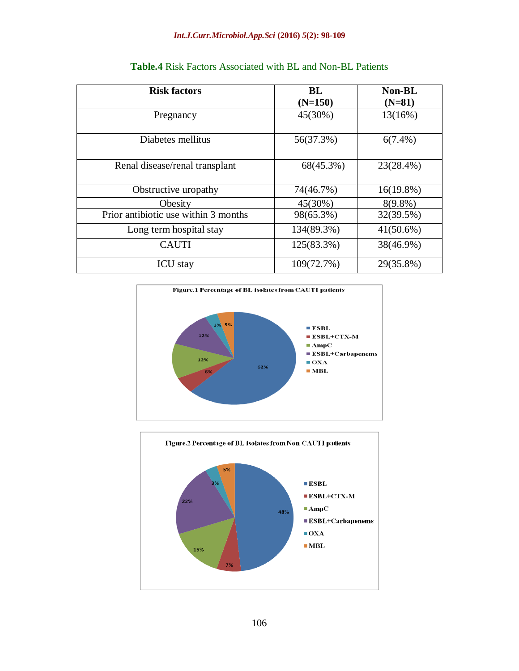| <b>Risk factors</b>                  | <b>BL</b>  | <b>Non-BL</b> |  |  |
|--------------------------------------|------------|---------------|--|--|
|                                      | $(N=150)$  | $(N=81)$      |  |  |
| Pregnancy                            | 45(30%)    | 13(16%)       |  |  |
| Diabetes mellitus                    | 56(37.3%)  | $6(7.4\%)$    |  |  |
| Renal disease/renal transplant       | 68(45.3%)  | 23(28.4%)     |  |  |
| Obstructive uropathy                 | 74(46.7%)  | $16(19.8\%)$  |  |  |
| Obesity                              | 45(30%)    | $8(9.8\%)$    |  |  |
| Prior antibiotic use within 3 months | 98(65.3%)  | 32(39.5%)     |  |  |
| Long term hospital stay              | 134(89.3%) | $41(50.6\%)$  |  |  |
| <b>CAUTI</b>                         | 125(83.3%) | 38(46.9%)     |  |  |
| <b>ICU</b> stay                      | 109(72.7%) | 29(35.8%)     |  |  |

**Table.4** Risk Factors Associated with BL and Non-BL Patients



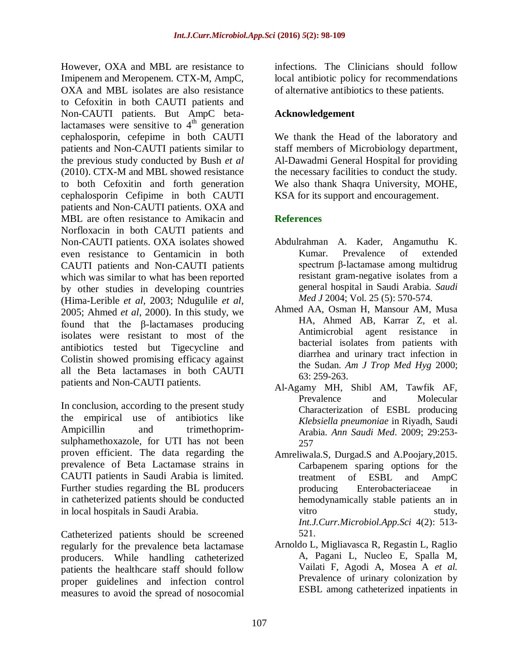However, OXA and MBL are resistance to Imipenem and Meropenem. CTX-M, AmpC, OXA and MBL isolates are also resistance to Cefoxitin in both CAUTI patients and Non-CAUTI patients. But AmpC betalactamases were sensitive to  $4<sup>th</sup>$  generation cephalosporin, cefepime in both CAUTI patients and Non-CAUTI patients similar to the previous study conducted by Bush *et al* (2010). CTX-M and MBL showed resistance to both Cefoxitin and forth generation cephalosporin Cefipime in both CAUTI patients and Non-CAUTI patients. OXA and MBL are often resistance to Amikacin and Norfloxacin in both CAUTI patients and Non-CAUTI patients. OXA isolates showed even resistance to Gentamicin in both CAUTI patients and Non-CAUTI patients which was similar to what has been reported by other studies in developing countries (Hima-Lerible *et al*, 2003; Ndugulile *et al*, 2005; Ahmed *et al*, 2000). In this study, we found that the β-lactamases producing isolates were resistant to most of the antibiotics tested but Tigecycline and Colistin showed promising efficacy against all the Beta lactamases in both CAUTI patients and Non-CAUTI patients.

In conclusion, according to the present study the empirical use of antibiotics like Ampicillin and trimethoprimsulphamethoxazole, for UTI has not been proven efficient. The data regarding the prevalence of Beta Lactamase strains in CAUTI patients in Saudi Arabia is limited. Further studies regarding the BL producers in catheterized patients should be conducted in local hospitals in Saudi Arabia.

Catheterized patients should be screened regularly for the prevalence beta lactamase producers. While handling catheterized patients the healthcare staff should follow proper guidelines and infection control measures to avoid the spread of nosocomial

infections. The Clinicians should follow local antibiotic policy for recommendations of alternative antibiotics to these patients.

## **Acknowledgement**

We thank the Head of the laboratory and staff members of Microbiology department, Al-Dawadmi General Hospital for providing the necessary facilities to conduct the study. We also thank Shaqra University, MOHE, KSA for its support and encouragement.

# **References**

- Abdulrahman A. Kader, Angamuthu K. Kumar. Prevalence of extended spectrum β-lactamase among multidrug resistant gram-negative isolates from a general hospital in Saudi Arabia*. Saudi Med J* 2004; Vol. 25 (5): 570-574.
- Ahmed AA, Osman H, Mansour AM, Musa HA, Ahmed AB, Karrar Z, et al. Antimicrobial agent resistance in bacterial isolates from patients with diarrhea and urinary tract infection in the Sudan. *Am J Trop Med Hyg* 2000; 63: 259-263.
- Al-Agamy MH, Shibl AM, Tawfik AF, Prevalence and Molecular Characterization of ESBL producing *Klebsiella pneumoniae* in Riyadh, Saudi Arabia. *Ann Saudi Med*. 2009; 29:253- 257
- Amreliwala.S, Durgad.S and A.Poojary,2015. Carbapenem sparing options for the treatment of ESBL and AmpC producing Enterobacteriaceae in hemodynamically stable patients an in vitro study, *Int.J.Curr.Microbiol.App.Sci* 4(2): 513- 521.
- Arnoldo L, Migliavasca R, Regastin L, Raglio A, Pagani L, Nucleo E, Spalla M, Vailati F, Agodi A, Mosea A *et al.* Prevalence of urinary colonization by ESBL among catheterized inpatients in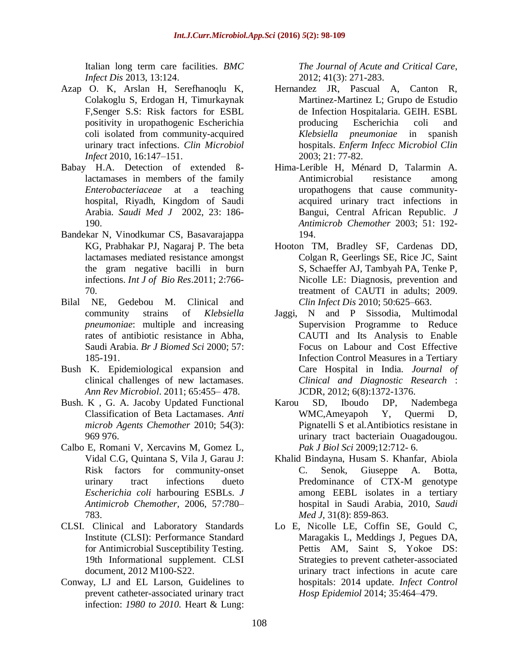Italian long term care facilities*. BMC Infect Dis* 2013, 13:124.

- Azap O. K, Arslan H, Serefhanoqlu K, Colakoglu S, Erdogan H, Timurkaynak F,Senger S.S: Risk factors for ESBL positivity in uropathogenic Escherichia coli isolated from community-acquired urinary tract infections. *Clin Microbiol Infect* 2010, 16:147–151.
- Babay H.A. Detection of extended ßlactamases in members of the family *Enterobacteriaceae* at a teaching hospital, Riyadh, Kingdom of Saudi Arabia. *Saudi Med J* 2002, 23: 186- 190.
- Bandekar N, Vinodkumar CS, Basavarajappa KG, Prabhakar PJ, Nagaraj P. The beta lactamases mediated resistance amongst the gram negative bacilli in burn infections. *Int J of Bio Res*.2011; 2:766- 70.
- Bilal NE, Gedebou M. Clinical and community strains of *Klebsiella pneumoniae*: multiple and increasing rates of antibiotic resistance in Abha, Saudi Arabia. *Br J Biomed Sci* 2000; 57: 185-191.
- Bush K. Epidemiological expansion and clinical challenges of new lactamases. *Ann Rev Microbiol*. 2011; 65:455– 478.
- Bush. K , G. A. Jacoby Updated Functional Classification of Beta Lactamases. *Anti microb Agents Chemother* 2010; 54(3): 969 976.
- Calbo E, Romani V, Xercavins M, Gomez L, Vidal C.G, Quintana S, Vila J, Garau J: Risk factors for community-onset urinary tract infections dueto *Escherichia coli* harbouring ESBLs. *J Antimicrob Chemother,* 2006, 57:780– 783.
- CLSI. Clinical and Laboratory Standards Institute (CLSI): Performance Standard for Antimicrobial Susceptibility Testing. 19th Informational supplement. CLSI document, 2012 M100-S22.
- Conway, LJ and EL Larson, Guidelines to prevent catheter-associated urinary tract infection: *1980 to 2010.* Heart & Lung:

*The Journal of Acute and Critical Care*, 2012; 41(3): 271-283.

- Hernandez JR, Pascual A, Canton R, Martinez-Martinez L; Grupo de Estudio de Infection Hospitalaria. GEIH. ESBL producing Escherichia coli and *Klebsiella pneumoniae* in spanish hospitals. *Enferm Infecc Microbiol Clin*  2003; 21: 77-82.
- Hima-Lerible H, Ménard D, Talarmin A. Antimicrobial resistance among uropathogens that cause communityacquired urinary tract infections in Bangui, Central African Republic. *J Antimicrob Chemother* 2003; 51: 192- 194.
- Hooton TM, Bradley SF, Cardenas DD, Colgan R, Geerlings SE, Rice JC, Saint S, Schaeffer AJ, Tambyah PA, Tenke P, Nicolle LE: Diagnosis, prevention and treatment of CAUTI in adults; 2009. *Clin Infect Dis* 2010; 50:625–663.
- Jaggi, N and P Sissodia, Multimodal Supervision Programme to Reduce CAUTI and Its Analysis to Enable Focus on Labour and Cost Effective Infection Control Measures in a Tertiary Care Hospital in India. *Journal of Clinical and Diagnostic Research* : JCDR, 2012; 6(8):1372-1376.
- Karou SD, Iboudo DP, Nadembega WMC,Ameyapoh Y, Quermi D, Pignatelli S et al.Antibiotics resistane in urinary tract bacteriain Ouagadougou. *Pak J Biol Sci* 2009;12:712- 6.
- Khalid Bindayna, Husam S. Khanfar, Abiola C. Senok, Giuseppe A. Botta, Predominance of CTX-M genotype among EEBL isolates in a tertiary hospital in Saudi Arabia, 2010, *Saudi Med J*, 31(8): 859-863.
- Lo E, Nicolle LE, Coffin SE, Gould C, Maragakis L, Meddings J, Pegues DA, Pettis AM, Saint S, Yokoe DS: Strategies to prevent catheter-associated urinary tract infections in acute care hospitals: 2014 update. *Infect Control Hosp Epidemiol* 2014; 35:464–479.